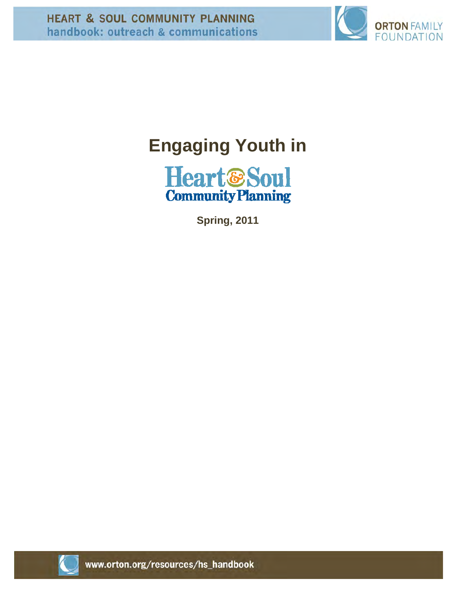

# **Engaging Youth in**



**Spring, 2011** 

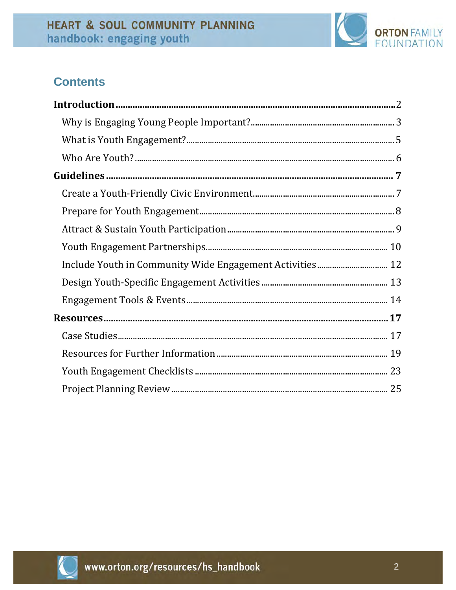

# **Contents**

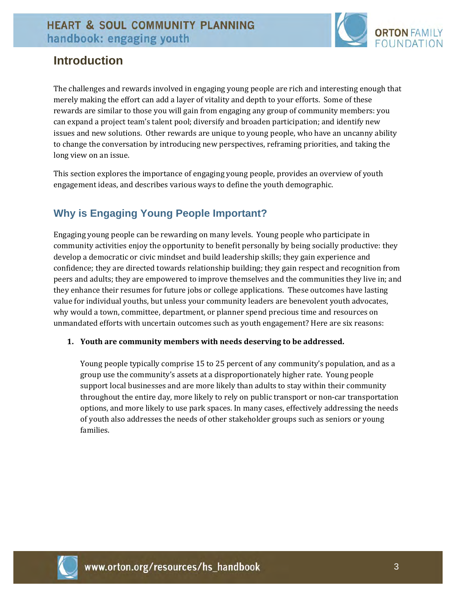

# **Introduction**

The challenges and rewards involved in engaging young people are rich and interesting enough that merely making the effort can add a layer of vitality and depth to your efforts. Some of these rewards are similar to those you will gain from engaging any group of community members: you can expand a project team's talent pool; diversify and broaden participation; and identify new issues and new solutions. Other rewards are unique to young people, who have an uncanny ability to change the conversation by introducing new perspectives, reframing priorities, and taking the long view on an issue.

This section explores the importance of engaging young people, provides an overview of youth engagement ideas, and describes various ways to define the youth demographic.

### **Why is Engaging Young People Important?**

Engaging young people can be rewarding on many levels. Young people who participate in community activities enjoy the opportunity to benefit personally by being socially productive: they develop a democratic or civic mindset and build leadership skills; they gain experience and confidence; they are directed towards relationship building; they gain respect and recognition from peers and adults; they are empowered to improve themselves and the communities they live in; and they enhance their resumes for future jobs or college applications. These outcomes have lasting value for individual youths, but unless your community leaders are benevolent youth advocates, why would a town, committee, department, or planner spend precious time and resources on unmandated efforts with uncertain outcomes such as youth engagement? Here are six reasons:

#### **1. Youth are community members with needs deserving to be addressed.**

Young people typically comprise 15 to 25 percent of any community's population, and as a group use the community's assets at a disproportionately higher rate. Young people support local businesses and are more likely than adults to stay within their community throughout the entire day, more likely to rely on public transport or non‐car transportation options, and more likely to use park spaces. In many cases, effectively addressing the needs of youth also addresses the needs of other stakeholder groups such as seniors or young families.

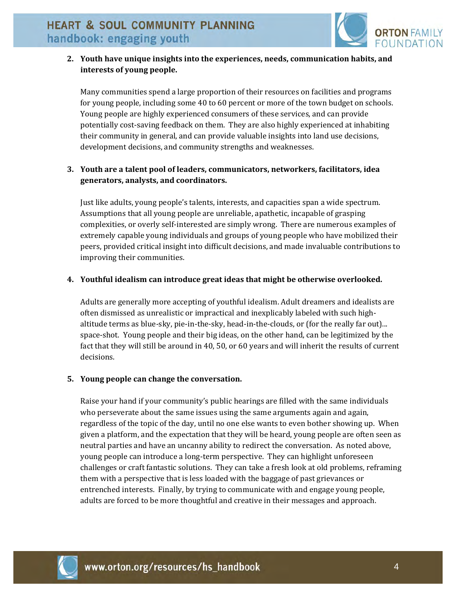

### **2. Youth have unique insights into the experiences, needs, communication habits, and interests of young people.**

Many communities spend a large proportion of their resources on facilities and programs for young people, including some 40 to 60 percent or more of the town budget on schools. Young people are highly experienced consumers of these services, and can provide potentially cost-saving feedback on them. They are also highly experienced at inhabiting their community in general, and can provide valuable insights into land use decisions, development decisions, and community strengths and weaknesses.

### **3. Youth are a talent pool of leaders, communicators, networkers, facilitators, idea generators, analysts, and coordinators.**

Just like adults, young people's talents, interests, and capacities span a wide spectrum. Assumptions that all young people are unreliable, apathetic, incapable of grasping complexities, or overly self-interested are simply wrong. There are numerous examples of extremely capable young individuals and groups of young people who have mobilized their peers, provided critical insight into difficult decisions, and made invaluable contributions to improving their communities.

#### **4. Youthful idealism can introduce great ideas that might be otherwise overlooked.**

Adults are generally more accepting of youthful idealism. Adult dreamers and idealists are often dismissed as unrealistic or impractical and inexplicably labeled with such high‐ altitude terms as blue‐sky, pie‐in‐the‐sky, head‐in‐the‐clouds, or (for the really far out)... space‐shot. Young people and their big ideas, on the other hand, can be legitimized by the fact that they will still be around in 40, 50, or 60 years and will inherit the results of current decisions.

#### **5. Young people can change the conversation.**

Raise your hand if your community's public hearings are filled with the same individuals who perseverate about the same issues using the same arguments again and again, regardless of the topic of the day, until no one else wants to even bother showing up. When given a platform, and the expectation that they will be heard, young people are often seen as neutral parties and have an uncanny ability to redirect the conversation. As noted above, young people can introduce a long-term perspective. They can highlight unforeseen challenges or craft fantastic solutions. They can take a fresh look at old problems, reframing them with a perspective that is less loaded with the baggage of past grievances or entrenched interests. Finally, by trying to communicate with and engage young people, adults are forced to be more thoughtful and creative in their messages and approach.

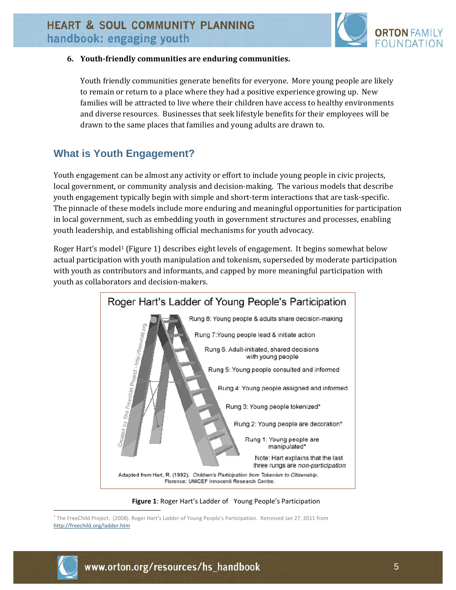

#### **6. Youthfriendly communities are enduring communities.**

Youth friendly communities generate benefits for everyone. More young people are likely to remain or return to a place where they had a positive experience growing up. New families will be attracted to live where their children have access to healthy environments and diverse resources. Businesses that seek lifestyle benefits for their employees will be drawn to the same places that families and young adults are drawn to.

### **What is Youth Engagement?**

Youth engagement can be almost any activity or effort to include young people in civic projects, local government, or community analysis and decision-making. The various models that describe youth engagement typically begin with simple and short-term interactions that are task-specific. The pinnacle of these models include more enduring and meaningful opportunities for participation in local government, such as embedding youth in government structures and processes, enabling youth leadership, and establishing official mechanisms for youth advocacy.

Roger Hart's model1 (Figure 1) describes eight levels of engagement. It begins somewhat below actual participation with youth manipulation and tokenism, superseded by moderate participation with youth as contributors and informants, and capped by more meaningful participation with youth as collaborators and decision‐makers.



**Figure 1**: Roger Hart's Ladder of Young People's Participation

 $\overline{a}$ <sup>1</sup> The FreeChild Project. (2008). Roger Hart's Ladder of Young People's Participation. Retreived Jan 27, 2011 from http://freechild.org/ladder.htm

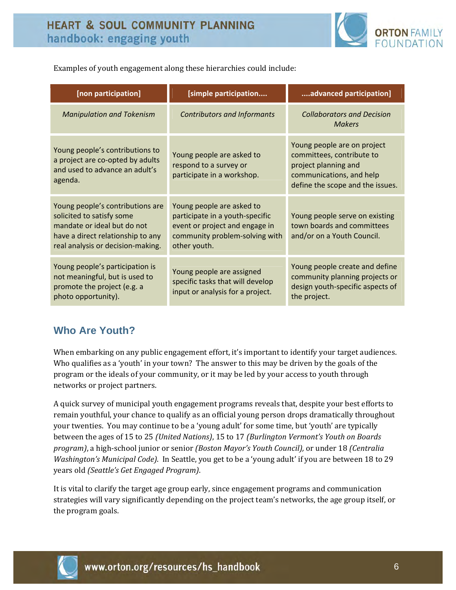

Examples of youth engagement along these hierarchies could include:

| [non participation]                                                                                                                                                    | [simple participation                                                                                                                            | advanced participation]                                                                                                                          |
|------------------------------------------------------------------------------------------------------------------------------------------------------------------------|--------------------------------------------------------------------------------------------------------------------------------------------------|--------------------------------------------------------------------------------------------------------------------------------------------------|
| <b>Manipulation and Tokenism</b>                                                                                                                                       | <b>Contributors and Informants</b>                                                                                                               | <b>Collaborators and Decision</b><br><b>Makers</b>                                                                                               |
| Young people's contributions to<br>a project are co-opted by adults<br>and used to advance an adult's<br>agenda.                                                       | Young people are asked to<br>respond to a survey or<br>participate in a workshop.                                                                | Young people are on project<br>committees, contribute to<br>project planning and<br>communications, and help<br>define the scope and the issues. |
| Young people's contributions are<br>solicited to satisfy some<br>mandate or ideal but do not<br>have a direct relationship to any<br>real analysis or decision-making. | Young people are asked to<br>participate in a youth-specific<br>event or project and engage in<br>community problem-solving with<br>other youth. | Young people serve on existing<br>town boards and committees<br>and/or on a Youth Council.                                                       |
| Young people's participation is<br>not meaningful, but is used to<br>promote the project (e.g. a<br>photo opportunity).                                                | Young people are assigned<br>specific tasks that will develop<br>input or analysis for a project.                                                | Young people create and define<br>community planning projects or<br>design youth-specific aspects of<br>the project.                             |

### **Who Are Youth?**

When embarking on any public engagement effort, it's important to identify your target audiences. Who qualifies as a 'youth' in your town? The answer to this may be driven by the goals of the program or the ideals of your community, or it may be led by your access to youth through networks or project partners.

A quick survey of municipal youth engagement programs reveals that, despite your best efforts to remain youthful, your chance to qualify as an official young person drops dramatically throughout your twenties. You may continue to be a 'young adult' for some time, but 'youth' are typically between the ages of 15 to 25 *(United Nations)*, 15 to 17 *(Burlington Vermont's Youth on Boards program)*, a high‐school junior or senior *(Boston Mayor's Youth Council),* or under 18 *(Centralia Washington's Municipal Code)*. In Seattle, you get to be a 'young adult' if you are between 18 to 29 years old *(Seattle's Get Engaged Program)*.

It is vital to clarify the target age group early, since engagement programs and communication strategies will vary significantly depending on the project team's networks, the age group itself, or the program goals.

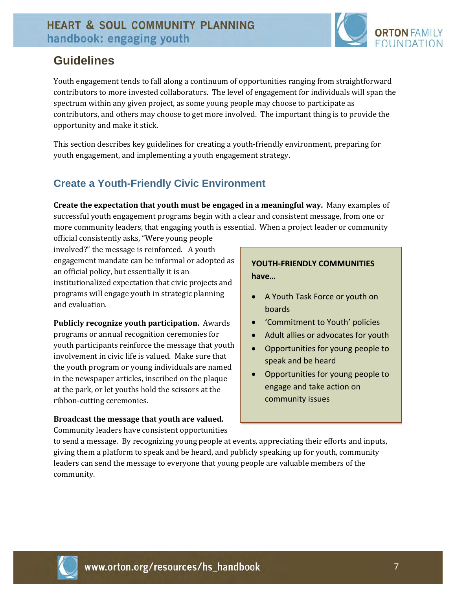

# **Guidelines**

Youth engagement tends to fall along a continuum of opportunities ranging from straightforward contributors to more invested collaborators. The level of engagement for individuals will span the spectrum within any given project, as some young people may choose to participate as contributors, and others may choose to get more involved. The important thing is to provide the opportunity and make it stick.

This section describes key guidelines for creating a youth‐friendly environment, preparing for youth engagement, and implementing a youth engagement strategy.

# **Create a Youth-Friendly Civic Environment**

**Create the expectation that youth must be engaged in a meaningful way.** Many examples of successful youth engagement programs begin with a clear and consistent message, from one or more community leaders, that engaging youth is essential. When a project leader or community

official consistently asks, "Were young people involved?" the message is reinforced. A youth engagement mandate can be informal or adopted as an official policy, but essentially it is an institutionalized expectation that civic projects and programs will engage youth in strategic planning and evaluation.

**Publicly recognize youth participation.** Awards programs or annual recognition ceremonies for youth participants reinforce the message that youth involvement in civic life is valued. Make sure that the youth program or young individuals are named in the newspaper articles, inscribed on the plaque at the park, or let youths hold the scissors at the ribbon‐cutting ceremonies.

### **Broadcast the message that youth are valued.**

Community leaders have consistent opportunities

### **YOUTH‐FRIENDLY COMMUNITIES have…**

- A Youth Task Force or youth on boards
- 'Commitment to Youth' policies
- Adult allies or advocates for youth
- Opportunities for young people to speak and be heard
- Opportunities for young people to engage and take action on community issues

to send a message. By recognizing young people at events, appreciating their efforts and inputs, giving them a platform to speak and be heard, and publicly speaking up for youth, community leaders can send the message to everyone that young people are valuable members of the community.

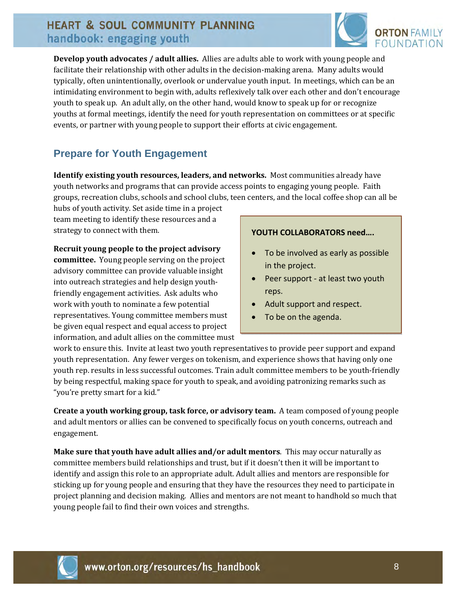

**Develop youth advocates / adult allies.** Allies are adults able to work with young people and facilitate their relationship with other adults in the decision-making arena. Many adults would typically, often unintentionally, overlook or undervalue youth input. In meetings, which can be an intimidating environment to begin with, adults reflexively talk over each other and don't encourage youth to speak up. An adult ally, on the other hand, would know to speak up for or recognize youths at formal meetings, identify the need for youth representation on committees or at specific events, or partner with young people to support their efforts at civic engagement.

# **Prepare for Youth Engagement**

**Identify existing youth resources, leaders, and networks.** Most communities already have youth networks and programs that can provide access points to engaging young people. Faith groups, recreation clubs, schools and school clubs, teen centers, and the local coffee shop can all be

hubs of youth activity. Set aside time in a project team meeting to identify these resources and a strategy to connect with them.

**Recruit young people to the project advisory committee.** Young people serving on the project advisory committee can provide valuable insight into outreach strategies and help design youth‐ friendly engagement activities. Ask adults who work with youth to nominate a few potential representatives. Young committee members must be given equal respect and equal access to project information, and adult allies on the committee must

#### **YOUTH COLLABORATORS need….**

- To be involved as early as possible in the project.
- Peer support at least two youth reps.
- Adult support and respect.
- To be on the agenda.

work to ensure this. Invite at least two youth representatives to provide peer support and expand youth representation. Any fewer verges on tokenism, and experience shows that having only one youth rep. results in less successful outcomes. Train adult committee members to be youth‐friendly by being respectful, making space for youth to speak, and avoiding patronizing remarks such as "you're pretty smart for a kid."

**Create a youth working group, task force, or advisory team.** A team composed of young people and adult mentors or allies can be convened to specifically focus on youth concerns, outreach and engagement.

**Make sure that youth have adult allies and/or adult mentors**. This may occur naturally as committee members build relationships and trust, but if it doesn't then it will be important to identify and assign this role to an appropriate adult. Adult allies and mentors are responsible for sticking up for young people and ensuring that they have the resources they need to participate in project planning and decision making. Allies and mentors are not meant to handhold so much that young people fail to find their own voices and strengths.

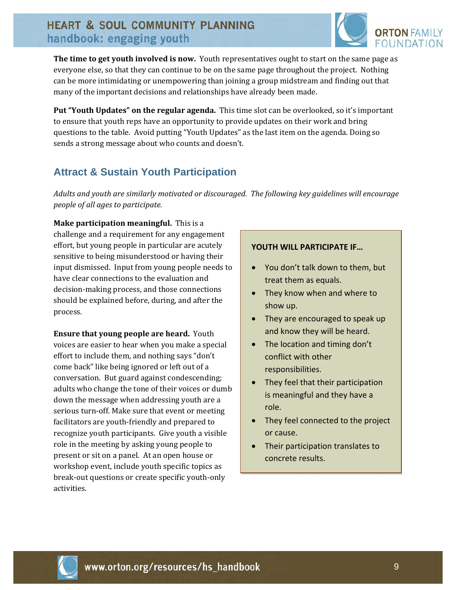

**The time to get youth involved is now.** Youth representatives ought to start on the same page as everyone else, so that they can continue to be on the same page throughout the project. Nothing can be more intimidating or unempowering than joining a group midstream and finding out that many of the important decisions and relationships have already been made.

**Put "Youth Updates" on the regular agenda.** This time slot can be overlooked, so it's important to ensure that youth reps have an opportunity to provide updates on their work and bring questions to the table. Avoid putting "Youth Updates" as the last item on the agenda. Doing so sends a strong message about who counts and doesn't.

### **Attract & Sustain Youth Participation**

*Adults and youth are similarly motivated or discouraged. The following key guidelines will encourage people of all ages to participate.*

**Make participation meaningful.** This is a challenge and a requirement for any engagement effort, but young people in particular are acutely sensitive to being misunderstood or having their input dismissed. Input from young people needs to have clear connections to the evaluation and decision‐making process, and those connections should be explained before, during, and after the process.

**Ensure that young people are heard.** Youth voices are easier to hear when you make a special effort to include them, and nothing says "don't come back" like being ignored or left out of a conversation. But guard against condescending; adults who change the tone of their voices or dumb down the message when addressing youth are a serious turn‐off. Make sure that event or meeting facilitators are youth‐friendly and prepared to recognize youth participants. Give youth a visible role in the meeting by asking young people to present or sit on a panel. At an open house or workshop event, include youth specific topics as break‐out questions or create specific youth‐only activities.

### **YOUTH WILL PARTICIPATE IF…**

- You don't talk down to them, but treat them as equals.
- They know when and where to show up.
- They are encouraged to speak up and know they will be heard.
- The location and timing don't conflict with other responsibilities.
- They feel that their participation is meaningful and they have a role.
- They feel connected to the project or cause.
- Their participation translates to concrete results.

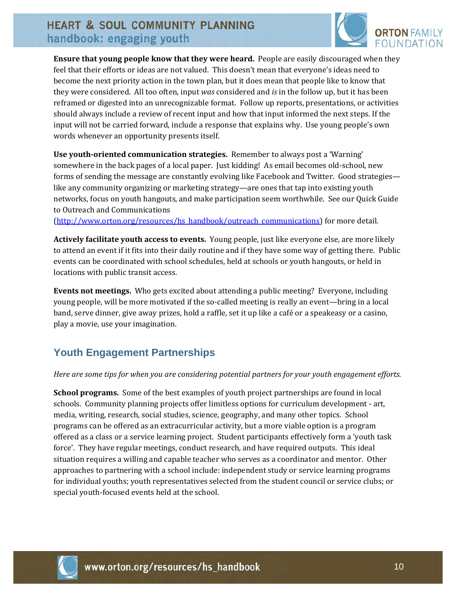

**Ensure that young people know that they were heard.** People are easily discouraged when they feel that their efforts or ideas are not valued. This doesn't mean that everyone's ideas need to become the next priority action in the town plan, but it does mean that people like to know that they were considered. All too often, input *was* considered and *is* in the follow up, but it has been reframed or digested into an unrecognizable format. Follow up reports, presentations, or activities should always include a review of recent input and how that input informed the next steps. If the input will not be carried forward, include a response that explains why. Use young people's own words whenever an opportunity presents itself.

**Use youthoriented communication strategies.** Remember to always post a 'Warning' somewhere in the back pages of a local paper. Just kidding! As email becomes old-school, new forms of sending the message are constantly evolving like Facebook and Twitter. Good strategies like any community organizing or marketing strategy—are ones that tap into existing youth networks, focus on youth hangouts, and make participation seem worthwhile. See our Quick Guide to Outreach and Communications

(http://www.orton.org/resources/hs\_handbook/outreach\_communications) for more detail.

**Actively facilitate youth access to events.** Young people, just like everyone else, are more likely to attend an event if it fits into their daily routine and if they have some way of getting there. Public events can be coordinated with school schedules, held at schools or youth hangouts, or held in locations with public transit access.

**Events not meetings.** Who gets excited about attending a public meeting? Everyone, including young people, will be more motivated if the so-called meeting is really an event—bring in a local band, serve dinner, give away prizes, hold a raffle, set it up like a café or a speakeasy or a casino, play a movie, use your imagination.

# **Youth Engagement Partnerships**

#### *Here are some tips for when you are considering potential partners for your youth engagement efforts.*

**School programs.** Some of the best examples of youth project partnerships are found in local schools. Community planning projects offer limitless options for curriculum development ‐ art, media, writing, research, social studies, science, geography, and many other topics. School programs can be offered as an extracurricular activity, but a more viable option is a program offered as a class or a service learning project. Student participants effectively form a 'youth task force'. They have regular meetings, conduct research, and have required outputs. This ideal situation requires a willing and capable teacher who serves as a coordinator and mentor. Other approaches to partnering with a school include: independent study or service learning programs for individual youths; youth representatives selected from the student council or service clubs; or special youth‐focused events held at the school.

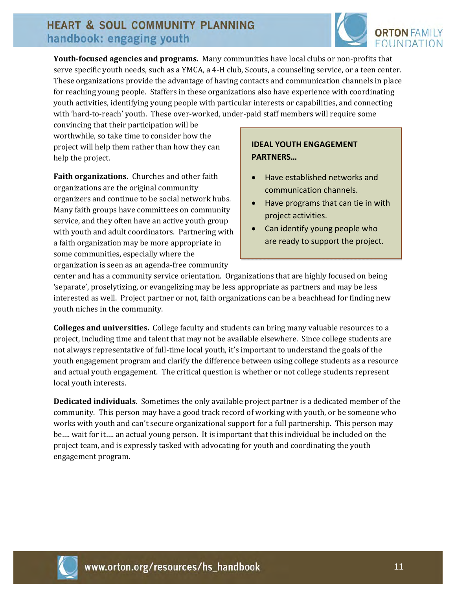

**Youthfocused agencies and programs.** Many communities have local clubs or non‐profits that serve specific youth needs, such as a YMCA, a 4‐H club, Scouts, a counseling service, or a teen center. These organizations provide the advantage of having contacts and communication channels in place for reaching young people. Staffers in these organizations also have experience with coordinating youth activities, identifying young people with particular interests or capabilities, and connecting with 'hard-to-reach' youth. These over-worked, under-paid staff members will require some

convincing that their participation will be worthwhile, so take time to consider how the project will help them rather than how they can help the project.

**Faith organizations.** Churches and other faith organizations are the original community organizers and continue to be social network hubs. Many faith groups have committees on community service, and they often have an active youth group with youth and adult coordinators. Partnering with a faith organization may be more appropriate in some communities, especially where the organization is seen as an agenda‐free community

### **IDEAL YOUTH ENGAGEMENT PARTNERS…**

- Have established networks and communication channels.
- Have programs that can tie in with project activities.
- Can identify young people who are ready to support the project.

center and has a community service orientation. Organizations that are highly focused on being 'separate', proselytizing, or evangelizing may be less appropriate as partners and may be less interested as well. Project partner or not, faith organizations can be a beachhead for finding new youth niches in the community.

**Colleges and universities.** College faculty and students can bring many valuable resources to a project, including time and talent that may not be available elsewhere. Since college students are not always representative of full‐time local youth, it's important to understand the goals of the youth engagement program and clarify the difference between using college students as a resource and actual youth engagement. The critical question is whether or not college students represent local youth interests.

**Dedicated individuals.** Sometimes the only available project partner is a dedicated member of the community. This person may have a good track record of working with youth, or be someone who works with youth and can't secure organizational support for a full partnership. This person may be…. wait for it…. an actual young person. It is important that this individual be included on the project team, and is expressly tasked with advocating for youth and coordinating the youth engagement program.

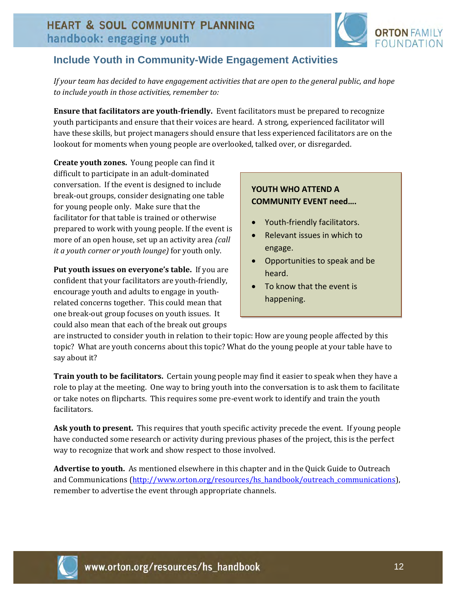

### **Include Youth in Community-Wide Engagement Activities**

If your team has decided to have engagement activities that are open to the general public, and hope *to include youth in those activities, remember to:*

**Ensure that facilitators are youthfriendly.** Event facilitators must be prepared to recognize youth participants and ensure that their voices are heard. A strong, experienced facilitator will have these skills, but project managers should ensure that less experienced facilitators are on the lookout for moments when young people are overlooked, talked over, or disregarded.

**Create youth zones.** Young people can find it difficult to participate in an adult‐dominated conversation. If the event is designed to include break‐out groups, consider designating one table for young people only. Make sure that the facilitator for that table is trained or otherwise prepared to work with young people. If the event is more of an open house, set up an activity area *(call it a youth corner or youth lounge)* for youth only.

**Put youth issues on everyone's table.** If you are confident that your facilitators are youth‐friendly, encourage youth and adults to engage in youth‐ related concerns together. This could mean that one break‐out group focuses on youth issues. It could also mean that each of the break out groups

### **YOUTH WHO ATTEND A COMMUNITY EVENT need….**

- Youth-friendly facilitators.
- Relevant issues in which to engage.
- Opportunities to speak and be heard.
- To know that the event is happening.

are instructed to consider youth in relation to their topic: How are young people affected by this topic? What are youth concerns about this topic? What do the young people at your table have to say about it?

**Train youth to be facilitators.** Certain young people may find it easier to speak when they have a role to play at the meeting. One way to bring youth into the conversation is to ask them to facilitate or take notes on flipcharts. This requires some pre‐event work to identify and train the youth facilitators.

**Ask youth to present.** This requires that youth specific activity precede the event. If young people have conducted some research or activity during previous phases of the project, this is the perfect way to recognize that work and show respect to those involved.

**Advertise to youth.** As mentioned elsewhere in this chapter and in the Quick Guide to Outreach and Communications (http://www.orton.org/resources/hs\_handbook/outreach\_communications), remember to advertise the event through appropriate channels.

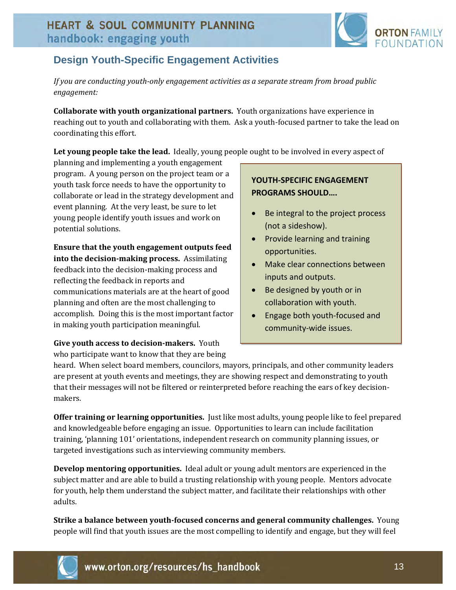

# **Design Youth-Specific Engagement Activities**

*If you are conducting youthonly engagement activities as a separate stream from broad public engagement:*

**Collaborate with youth organizational partners.** Youth organizations have experience in reaching out to youth and collaborating with them. Ask a youth‐focused partner to take the lead on coordinating this effort.

**Let young people take the lead.** Ideally, young people ought to be involved in every aspect of

planning and implementing a youth engagement program. A young person on the project team or a youth task force needs to have the opportunity to collaborate or lead in the strategy development and event planning. At the very least, be sure to let young people identify youth issues and work on potential solutions.

**Ensure that the youth engagement outputs feed into the decisionmaking process.** Assimilating feedback into the decision‐making process and reflecting the feedback in reports and communications materials are at the heart of good planning and often are the most challenging to accomplish. Doing this is the most important factor in making youth participation meaningful.

**Give youth access to decisionmakers.** Youth who participate want to know that they are being

### **YOUTH‐SPECIFIC ENGAGEMENT PROGRAMS SHOULD….**

- Be integral to the project process (not a sideshow).
- Provide learning and training opportunities.
- Make clear connections between inputs and outputs.
- Be designed by youth or in collaboration with youth.
- Engage both youth-focused and community‐wide issues.

heard. When select board members, councilors, mayors, principals, and other community leaders are present at youth events and meetings, they are showing respect and demonstrating to youth that their messages will not be filtered or reinterpreted before reaching the ears of key decision‐ makers.

**Offer training or learning opportunities.** Just like most adults, young people like to feel prepared and knowledgeable before engaging an issue. Opportunities to learn can include facilitation training, 'planning 101' orientations, independent research on community planning issues, or targeted investigations such as interviewing community members.

**Develop mentoring opportunities.** Ideal adult or young adult mentors are experienced in the subject matter and are able to build a trusting relationship with young people. Mentors advocate for youth, help them understand the subject matter, and facilitate their relationships with other adults.

**Strike a balance between youthfocused concerns and general community challenges.** Young people will find that youth issues are the most compelling to identify and engage, but they will feel

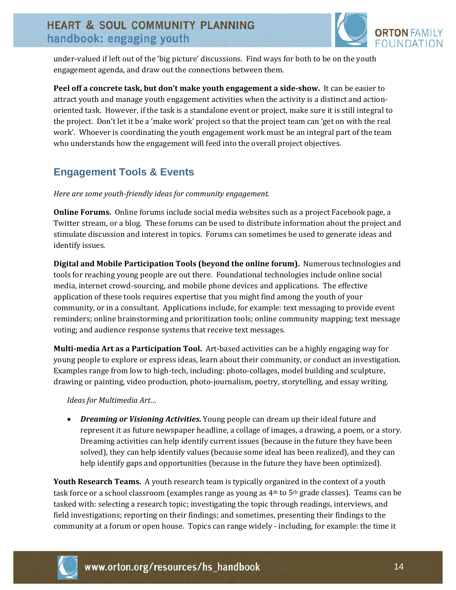

under‐valued if left out of the 'big picture' discussions. Find ways for both to be on the youth engagement agenda, and draw out the connections between them.

**Peel off a concrete task, but don't make youth engagement a sideshow.** It can be easier to attract youth and manage youth engagement activities when the activity is a distinct and action‐ oriented task. However, if the task is a standalone event or project, make sure it is still integral to the project. Don't let it be a 'make work' project so that the project team can 'get on with the real work'. Whoever is coordinating the youth engagement work must be an integral part of the team who understands how the engagement will feed into the overall project objectives.

### **Engagement Tools & Events**

*Here are some youthfriendly ideas for community engagement.*

**Online Forums.** Online forums include social media websites such as a project Facebook page, a Twitter stream, or a blog. These forums can be used to distribute information about the project and stimulate discussion and interest in topics. Forums can sometimes be used to generate ideas and identify issues.

**Digital and Mobile Participation Tools (beyond the online forum).** Numerous technologies and tools for reaching young people are out there. Foundational technologies include online social media, internet crowd‐sourcing, and mobile phone devices and applications. The effective application of these tools requires expertise that you might find among the youth of your community, or in a consultant. Applications include, for example: text messaging to provide event reminders; online brainstorming and prioritization tools; online community mapping; text message voting; and audience response systems that receive text messages.

**Multimedia Art as a Participation Tool.** Art‐based activities can be a highly engaging way for young people to explore or express ideas, learn about their community, or conduct an investigation. Examples range from low to high-tech, including: photo-collages, model building and sculpture, drawing or painting, video production, photo‐journalism, poetry, storytelling, and essay writing.

*Ideas for Multimedia Art…*

 *Dreaming or Visioning Activities.* Young people can dream up their ideal future and represent it as future newspaper headline, a collage of images, a drawing, a poem, or a story. Dreaming activities can help identify current issues (because in the future they have been solved), they can help identify values (because some ideal has been realized), and they can help identify gaps and opportunities (because in the future they have been optimized).

**Youth Research Teams.** A youth research team is typically organized in the context of a youth task force or a school classroom (examples range as young as  $4<sup>th</sup>$  to 5<sup>th</sup> grade classes). Teams can be tasked with: selecting a research topic; investigating the topic through readings, interviews, and field investigations; reporting on their findings; and sometimes, presenting their findings to the community at a forum or open house. Topics can range widely ‐ including, for example: the time it

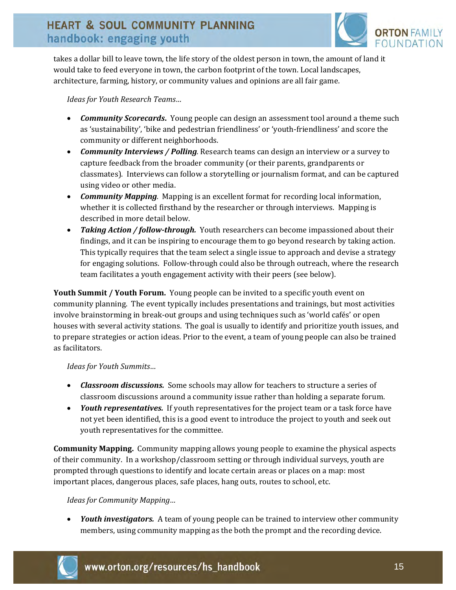

takes a dollar bill to leave town, the life story of the oldest person in town, the amount of land it would take to feed everyone in town, the carbon footprint of the town. Local landscapes, architecture, farming, history, or community values and opinions are all fair game.

*Ideas for Youth Research Teams…*

- *Community Scorecards***.** Young people can design an assessment tool around a theme such as 'sustainability', 'bike and pedestrian friendliness' or 'youth‐friendliness' and score the community or different neighborhoods.
- *Community Interviews / Polling.* Research teams can design an interview or a survey to capture feedback from the broader community (or their parents, grandparents or classmates). Interviews can follow a storytelling or journalism format, and can be captured using video or other media.
- *Community Mapping.* Mapping is an excellent format for recording local information, whether it is collected firsthand by the researcher or through interviews. Mapping is described in more detail below.
- Taking *Action / follow-through.* Youth researchers can become impassioned about their findings, and it can be inspiring to encourage them to go beyond research by taking action. This typically requires that the team select a single issue to approach and devise a strategy for engaging solutions. Follow-through could also be through outreach, where the research team facilitates a youth engagement activity with their peers (see below).

**Youth Summit / Youth Forum.** Young people can be invited to a specific youth event on community planning. The event typically includes presentations and trainings, but most activities involve brainstorming in break‐out groups and using techniques such as 'world cafés' or open houses with several activity stations. The goal is usually to identify and prioritize youth issues, and to prepare strategies or action ideas. Prior to the event, a team of young people can also be trained as facilitators.

*Ideas for Youth Summits…*

- *Classroom discussions.* Some schools may allow for teachers to structure a series of classroom discussions around a community issue rather than holding a separate forum.
- *Youth representatives.* If youth representatives for the project team or a task force have not yet been identified, this is a good event to introduce the project to youth and seek out youth representatives for the committee.

**Community Mapping.** Community mapping allows young people to examine the physical aspects of their community. In a workshop/classroom setting or through individual surveys, youth are prompted through questions to identify and locate certain areas or places on a map: most important places, dangerous places, safe places, hang outs, routes to school, etc.

*Ideas for Community Mapping…*

 *Youth investigators.* A team of young people can be trained to interview other community members, using community mapping as the both the prompt and the recording device.

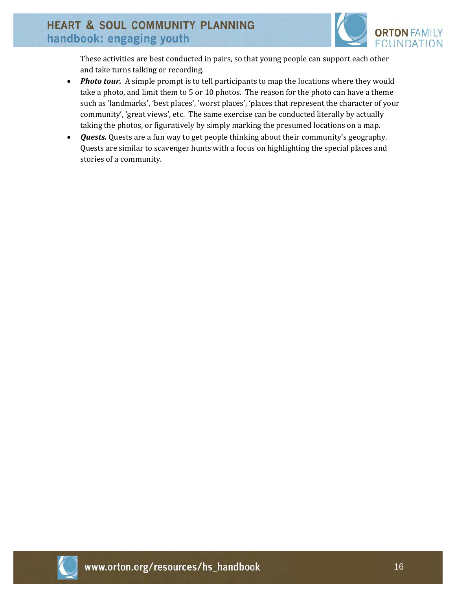

These activities are best conducted in pairs, so that young people can support each other and take turns talking or recording.

- *Photo tour.* A simple prompt is to tell participants to map the locations where they would take a photo, and limit them to 5 or 10 photos. The reason for the photo can have a theme such as 'landmarks', 'best places', 'worst places', 'places that represent the character of your community', 'great views', etc. The same exercise can be conducted literally by actually taking the photos, or figuratively by simply marking the presumed locations on a map.
- *Quests.* Quests are a fun way to get people thinking about their community's geography. Quests are similar to scavenger hunts with a focus on highlighting the special places and stories of a community.

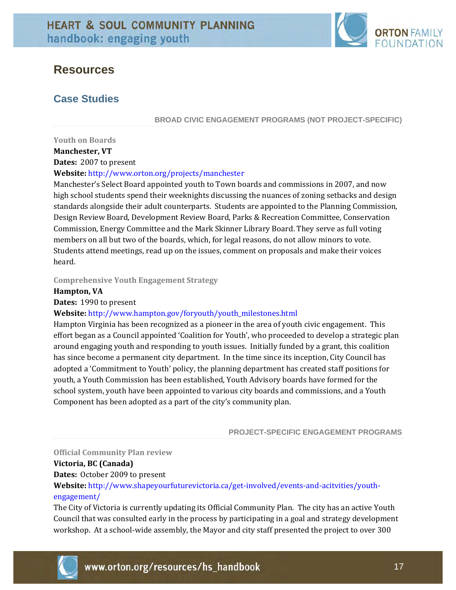

# **Resources**

### **Case Studies**

**BROAD CIVIC ENGAGEMENT PROGRAMS (NOT PROJECT-SPECIFIC)** 

**Youth on Boards** 

**Manchester, VT**

**Dates:** 2007 to present

**Website:** http://www.orton.org/projects/manchester

Manchester's Select Board appointed youth to Town boards and commissions in 2007, and now high school students spend their weeknights discussing the nuances of zoning setbacks and design standards alongside their adult counterparts. Students are appointed to the Planning Commission, Design Review Board, Development Review Board, Parks & Recreation Committee, Conservation Commission, Energy Committee and the Mark Skinner Library Board. They serve as full voting members on all but two of the boards, which, for legal reasons, do not allow minors to vote. Students attend meetings, read up on the issues, comment on proposals and make their voices heard.

**Comprehensive Youth Engagement Strategy** 

#### **Hampton, VA**

Dates: 1990 to present

**Website:** http://www.hampton.gov/foryouth/youth\_milestones.html

Hampton Virginia has been recognized as a pioneer in the area of youth civic engagement. This effort began as a Council appointed 'Coalition for Youth', who proceeded to develop a strategic plan around engaging youth and responding to youth issues. Initially funded by a grant, this coalition has since become a permanent city department. In the time since its inception, City Council has adopted a 'Commitment to Youth' policy, the planning department has created staff positions for youth, a Youth Commission has been established, Youth Advisory boards have formed for the school system, youth have been appointed to various city boards and commissions, and a Youth Component has been adopted as a part of the city's community plan.

**PROJECT-SPECIFIC ENGAGEMENT PROGRAMS** 

#### **Official Community Plan review**

#### **Victoria, BC (Canada)**

**Dates:** October 2009 to present

Website: http://www.shapeyourfuturevictoria.ca/get-involved/events-and-acitvities/youthengagement/

The City of Victoria is currently updating its Official Community Plan. The city has an active Youth Council that was consulted early in the process by participating in a goal and strategy development workshop. At a school-wide assembly, the Mayor and city staff presented the project to over 300

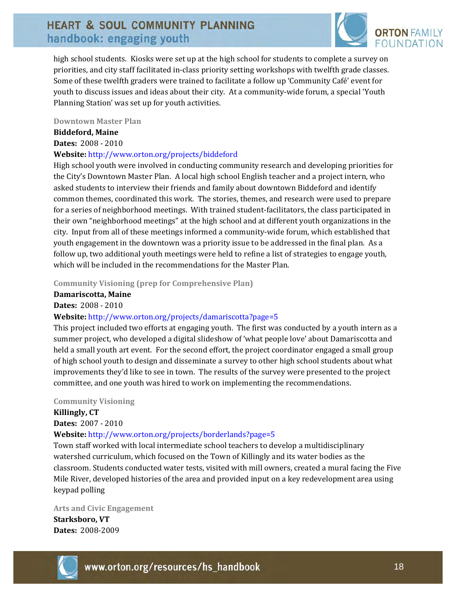

high school students. Kiosks were set up at the high school for students to complete a survey on priorities, and city staff facilitated in‐class priority setting workshops with twelfth grade classes. Some of these twelfth graders were trained to facilitate a follow up 'Community Café' event for youth to discuss issues and ideas about their city. At a community‐wide forum, a special 'Youth Planning Station' was set up for youth activities.

#### **Downtown Master Plan**

#### **Biddeford, Maine**

**Dates:** 2008 ‐ 2010

#### **Website:** http://www.orton.org/projects/biddeford

High school youth were involved in conducting community research and developing priorities for the City's Downtown Master Plan. A local high school English teacher and a project intern, who asked students to interview their friends and family about downtown Biddeford and identify common themes, coordinated this work. The stories, themes, and research were used to prepare for a series of neighborhood meetings. With trained student‐facilitators, the class participated in their own "neighborhood meetings" at the high school and at different youth organizations in the city. Input from all of these meetings informed a community‐wide forum, which established that youth engagement in the downtown was a priority issue to be addressed in the final plan. As a follow up, two additional youth meetings were held to refine a list of strategies to engage youth, which will be included in the recommendations for the Master Plan.

**Community Visioning (prep for Comprehensive Plan)**

**Damariscotta, Maine**

**Dates:** 2008 ‐ 2010

#### **Website:** http://www.orton.org/projects/damariscotta?page=5

This project included two efforts at engaging youth. The first was conducted by a youth intern as a summer project, who developed a digital slideshow of 'what people love' about Damariscotta and held a small youth art event. For the second effort, the project coordinator engaged a small group of high school youth to design and disseminate a survey to other high school students about what improvements they'd like to see in town. The results of the survey were presented to the project committee, and one youth was hired to work on implementing the recommendations.

#### **Community Visioning**

**Killingly, CT** 

**Dates:** 2007 ‐ 2010

#### **Website:** http://www.orton.org/projects/borderlands?page=5

Town staff worked with local intermediate school teachers to develop a multidisciplinary watershed curriculum, which focused on the Town of Killingly and its water bodies as the classroom. Students conducted water tests, visited with mill owners, created a mural facing the Five Mile River, developed histories of the area and provided input on a key redevelopment area using keypad polling

**Arts and Civic Engagement Starksboro, VT Dates:** 2008‐2009

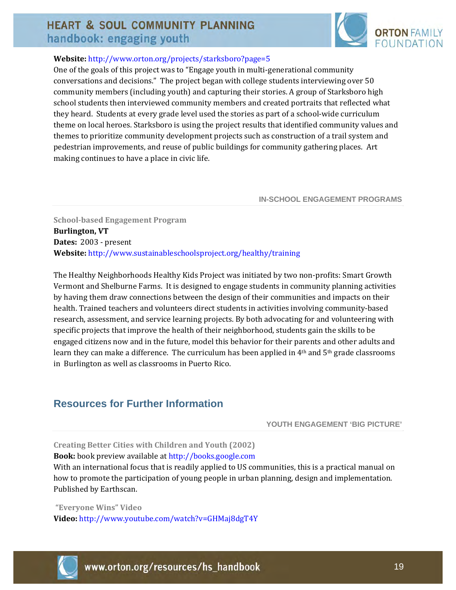

### **Website:** http://www.orton.org/projects/starksboro?page=5

One of the goals of this project was to "Engage youth in multi‐generational community conversations and decisions." The project began with college students interviewing over 50 community members (including youth) and capturing their stories. A group of Starksboro high school students then interviewed community members and created portraits that reflected what they heard. Students at every grade level used the stories as part of a school-wide curriculum theme on local heroes. Starksboro is using the project results that identified community values and themes to prioritize community development projects such as construction of a trail system and pedestrian improvements, and reuse of public buildings for community gathering places. Art making continues to have a place in civic life.

#### **IN-SCHOOL ENGAGEMENT PROGRAMS**

**Schoolbased Engagement Program Burlington, VT Dates:** 2003 ‐ present **Website:** http://www.sustainableschoolsproject.org/healthy/training

The Healthy Neighborhoods Healthy Kids Project was initiated by two non-profits: Smart Growth Vermont and Shelburne Farms. It is designed to engage students in community planning activities by having them draw connections between the design of their communities and impacts on their health. Trained teachers and volunteers direct students in activities involving community-based research, assessment, and service learning projects. By both advocating for and volunteering with specific projects that improve the health of their neighborhood, students gain the skills to be engaged citizens now and in the future, model this behavior for their parents and other adults and learn they can make a difference. The curriculum has been applied in 4<sup>th</sup> and 5<sup>th</sup> grade classrooms in Burlington as well as classrooms in Puerto Rico.

### **Resources for Further Information**

**YOUTH ENGAGEMENT 'BIG PICTURE'** 

#### **Creating Better Cities with Children and Youth (2002)**

**Book:** book preview available at http://books.google.com

With an international focus that is readily applied to US communities, this is a practical manual on how to promote the participation of young people in urban planning, design and implementation. Published by Earthscan.

**"Everyone Wins" Video Video:** http://www.youtube.com/watch?v=GHMaj8dgT4Y

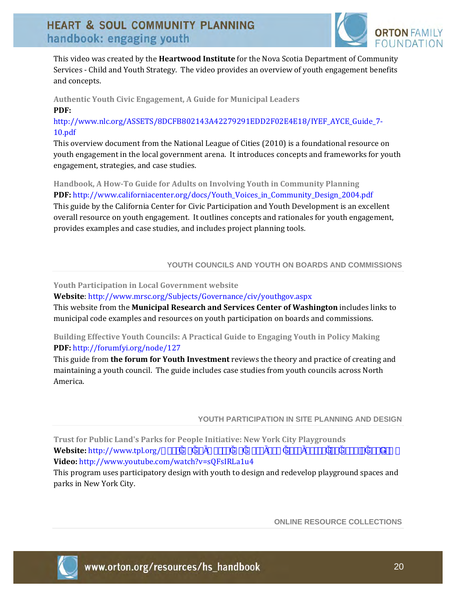

This video was created by the **Heartwood Institute** for the Nova Scotia Department of Community Services ‐ Child and Youth Strategy. The video provides an overview of youth engagement benefits and concepts.

**Authentic Youth Civic Engagement, A Guide for Municipal Leaders PDF:**

http://www.nlc.org/ASSETS/8DCFB802143A42279291EDD2F02E4E18/IYEF\_AYCE\_Guide\_7‐ 10.pdf

This overview document from the National League of Cities (2010) is a foundational resource on youth engagement in the local government arena. It introduces concepts and frameworks for youth engagement, strategies, and case studies.

**Handbook, A HowTo Guide for Adults on Involving Youth in Community Planning PDF:** http://www.californiacenter.org/docs/Youth\_Voices\_in\_Community\_Design\_2004.pdf This guide by the California Center for Civic Participation and Youth Development is an excellent overall resource on youth engagement. It outlines concepts and rationales for youth engagement, provides examples and case studies, and includes project planning tools.

#### **YOUTH COUNCILS AND YOUTH ON BOARDS AND COMMISSIONS**

#### **Youth Participation in Local Government website**

**Website**: http://www.mrsc.org/Subjects/Governance/civ/youthgov.aspx

This website from the **Municipal Research and Services Center of Washington** includes links to municipal code examples and resources on youth participation on boards and commissions.

**Building Effective Youth Councils: A Practical Guide to Engaging Youth in Policy Making PDF:** http://forumfyi.org/node/127

This guide from **the forum for Youth Investment** reviews the theory and practice of creating and maintaining a youth council. The guide includes case studies from youth councils across North America.

**YOUTH PARTICIPATION IN SITE PLANNING AND DESIGN** 

**Trust for Public Land's Parks for People Initiative: New York City Playgrounds Website:** http://www.tpl.org/<sup>3</sup>  $\&s^{\circ}$ <sup>3</sup> i  $\&v^{\circ}$ <sup>3</sup> i  $\&\infty$ <sup>3</sup> i <sup>3</sup> « $\&s^{\circ}$ <sup>3</sup> i  $\&v^{\circ}$  i  $s$  i  $\&v^{\circ}$  i  $\&v^{\circ}$  i  $s$  i  $\&v^{\circ}$ **Video:** http://www.youtube.com/watch?v=sQFsIRLa1u4

This program uses participatory design with youth to design and redevelop playground spaces and parks in New York City.

**ONLINE RESOURCE COLLECTIONS** 

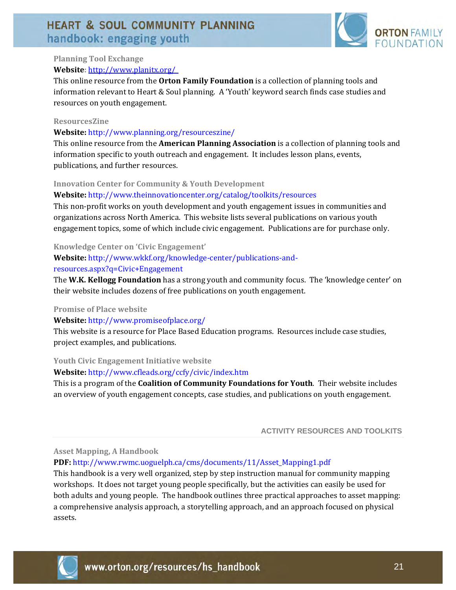

### **Planning Tool Exchange**

#### **Website:** [http://www.planitx.org/](http://www.planningtoolexchange.org/browse/results/taxonomy%3A210)

This online resource from the **Orton Family Foundation** is a collection of planning tools and information relevant to Heart & Soul planning. A 'Youth' keyword search finds case studies and resources on youth engagement.

#### **ResourcesZine**

#### **Website:** http://www.planning.org/resourceszine/

This online resource from the **American Planning Association** is a collection of planning tools and information specific to youth outreach and engagement. It includes lesson plans, events, publications, and further resources.

#### **Innovation Center for Community & Youth Development**

#### **Website:** http://www.theinnovationcenter.org/catalog/toolkits/resources

This non-profit works on youth development and youth engagement issues in communities and organizations across North America. This website lists several publications on various youth engagement topics, some of which include civic engagement. Publications are for purchase only.

#### **Knowledge Center on 'Civic Engagement'**

#### **Website:** http://www.wkkf.org/knowledge‐center/publications‐and‐

#### resources.aspx?q=Civic+Engagement

The **W.K. Kellogg Foundation** has a strong youth and community focus. The 'knowledge center' on their website includes dozens of free publications on youth engagement.

#### **Promise of Place website**

#### **Website:** http://www.promiseofplace.org/

This website is a resource for Place Based Education programs. Resources include case studies, project examples, and publications.

#### **Youth Civic Engagement Initiative website**

#### **Website:** http://www.cfleads.org/ccfy/civic/index.htm

This is a program of the **Coalition of Community Foundations for Youth**. Their website includes an overview of youth engagement concepts, case studies, and publications on youth engagement.

#### **ACTIVITY RESOURCES AND TOOLKITS**

#### **Asset Mapping, A Handbook**

#### **PDF:** http://www.rwmc.uoguelph.ca/cms/documents/11/Asset\_Mapping1.pdf

This handbook is a very well organized, step by step instruction manual for community mapping workshops. It does not target young people specifically, but the activities can easily be used for both adults and young people. The handbook outlines three practical approaches to asset mapping: a comprehensive analysis approach, a storytelling approach, and an approach focused on physical assets.

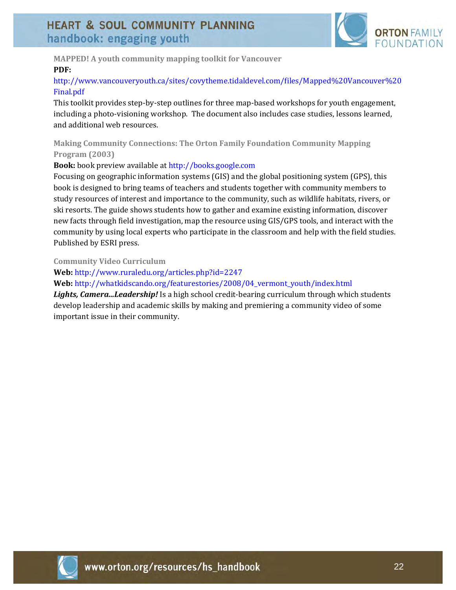

**MAPPED! A youth community mapping toolkit for Vancouver PDF:**

### http://www.vancouveryouth.ca/sites/covytheme.tidaldevel.com/files/Mapped%20Vancouver%20 Final.pdf

This toolkit provides step‐by‐step outlines for three map‐based workshops for youth engagement, including a photo-visioning workshop. The document also includes case studies, lessons learned, and additional web resources.

**Making Community Connections: The Orton Family Foundation Community Mapping Program (2003)**

#### **Book:** book preview available at http://books.google.com

Focusing on geographic information systems (GIS) and the global positioning system (GPS), this book is designed to bring teams of teachers and students together with community members to study resources of interest and importance to the community, such as wildlife habitats, rivers, or ski resorts. The guide shows students how to gather and examine existing information, discover new facts through field investigation, map the resource using GIS/GPS tools, and interact with the community by using local experts who participate in the classroom and help with the field studies. Published by ESRI press.

**Community Video Curriculum**

**Web:** http://www.ruraledu.org/articles.php?id=2247

**Web:** http://whatkidscando.org/featurestories/2008/04\_vermont\_youth/index.html

*Lights, Camera...Leadership!* Is a high school credit‐bearing curriculum through which students develop leadership and academic skills by making and premiering a community video of some important issue in their community.

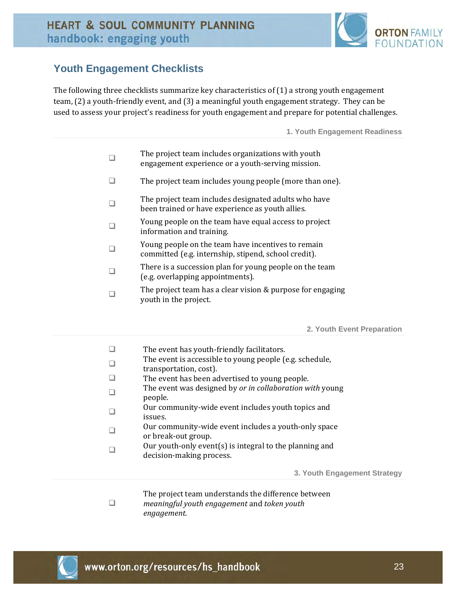

### **Youth Engagement Checklists**

The following three checklists summarize key characteristics of (1) a strong youth engagement team, (2) a youth‐friendly event, and (3) a meaningful youth engagement strategy. They can be used to assess your project's readiness for youth engagement and prepare for potential challenges.

**1. Youth Engagement Readiness** 

|  | The project team includes organizations with youth |
|--|----------------------------------------------------|
|  | engagement experience or a youth-serving mission.  |

- $\Box$  The project team includes young people (more than one).
- $\Box$  The project team includes designated adults who have been trained or have experience as youth allies.
- $\square$  Young people on the team have equal access to project information and training.
- $\Box$  Young people on the team have incentives to remain committed (e.g. internship, stipend, school credit).
- There is a succession plan for young people on the team (e.g. overlapping appointments).
- The project team has a clear vision & purpose for engaging youth in the project.

**2. Youth Event Preparation** 

|  | The event has youth-friendly facilitators. |
|--|--------------------------------------------|
|--|--------------------------------------------|

- The event is accessible to young people (e.g. schedule,
- transportation, cost).
- $\Box$  The event has been advertised to young people.
- The event was designed by *or in collaboration with* young people.
- $\Box$  Our community-wide event includes youth topics and issues.
- $\Box$  Our community-wide event includes a youth-only space or break‐out group.
- $\Box$  Our youth-only event(s) is integral to the planning and decision‐making process.

**3. Youth Engagement Strategy** 

The project team understands the difference between *meaningful youth engagement* and *token youth engagement.*



 $\Box$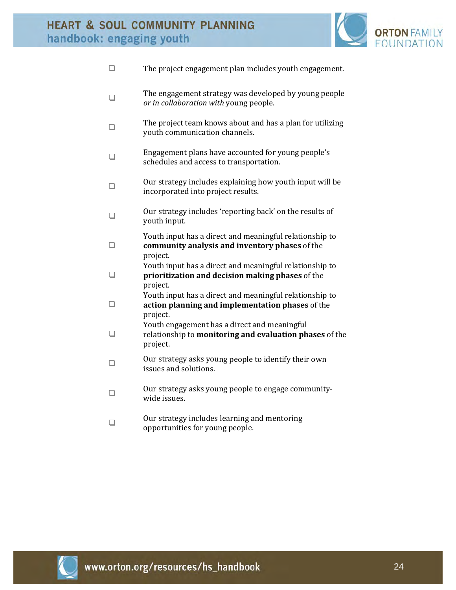

|        | The project engagement plan includes youth engagement.                                                                  |
|--------|-------------------------------------------------------------------------------------------------------------------------|
| □      | The engagement strategy was developed by young people<br>or in collaboration with young people.                         |
|        | The project team knows about and has a plan for utilizing<br>youth communication channels.                              |
|        | Engagement plans have accounted for young people's<br>schedules and access to transportation.                           |
|        | Our strategy includes explaining how youth input will be<br>incorporated into project results.                          |
|        | Our strategy includes 'reporting back' on the results of<br>youth input.                                                |
| $\Box$ | Youth input has a direct and meaningful relationship to<br>community analysis and inventory phases of the<br>project.   |
| □      | Youth input has a direct and meaningful relationship to<br>prioritization and decision making phases of the<br>project. |
|        | Youth input has a direct and meaningful relationship to<br>action planning and implementation phases of the<br>project. |
|        | Youth engagement has a direct and meaningful<br>relationship to monitoring and evaluation phases of the<br>project.     |
|        | Our strategy asks young people to identify their own<br>issues and solutions.                                           |
|        | Our strategy asks young people to engage community-<br>wide issues.                                                     |
|        | Our strategy includes learning and mentoring<br>opportunities for young people.                                         |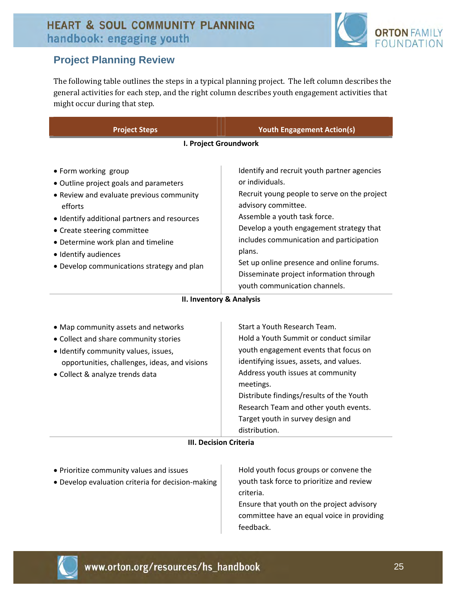

### **Project Planning Review**

The following table outlines the steps in a typical planning project. The left column describes the general activities for each step, and the right column describes youth engagement activities that might occur during that step.

| <b>Project Steps</b>                                                                                                                                                                                                                                                                                             | <b>Youth Engagement Action(s)</b>                                                                                                                                                                                                                                                                                                                                                                |  |
|------------------------------------------------------------------------------------------------------------------------------------------------------------------------------------------------------------------------------------------------------------------------------------------------------------------|--------------------------------------------------------------------------------------------------------------------------------------------------------------------------------------------------------------------------------------------------------------------------------------------------------------------------------------------------------------------------------------------------|--|
| I. Project Groundwork                                                                                                                                                                                                                                                                                            |                                                                                                                                                                                                                                                                                                                                                                                                  |  |
| • Form working group<br>• Outline project goals and parameters<br>• Review and evaluate previous community<br>efforts<br>• Identify additional partners and resources<br>• Create steering committee<br>• Determine work plan and timeline<br>• Identify audiences<br>• Develop communications strategy and plan | Identify and recruit youth partner agencies<br>or individuals.<br>Recruit young people to serve on the project<br>advisory committee.<br>Assemble a youth task force.<br>Develop a youth engagement strategy that<br>includes communication and participation<br>plans.<br>Set up online presence and online forums.<br>Disseminate project information through<br>youth communication channels. |  |

#### **II. Inventory & Analysis**

| • Map community assets and networks<br>• Collect and share community stories<br>• Identify community values, issues,<br>opportunities, challenges, ideas, and visions<br>• Collect & analyze trends data | Start a Youth Research Team.<br>Hold a Youth Summit or conduct similar<br>youth engagement events that focus on<br>identifying issues, assets, and values.<br>Address youth issues at community<br>meetings.<br>Distribute findings/results of the Youth<br>Research Team and other youth events.<br>Target youth in survey design and<br>distribution. |
|----------------------------------------------------------------------------------------------------------------------------------------------------------------------------------------------------------|---------------------------------------------------------------------------------------------------------------------------------------------------------------------------------------------------------------------------------------------------------------------------------------------------------------------------------------------------------|
|----------------------------------------------------------------------------------------------------------------------------------------------------------------------------------------------------------|---------------------------------------------------------------------------------------------------------------------------------------------------------------------------------------------------------------------------------------------------------------------------------------------------------------------------------------------------------|

#### **III. Decision Criteria**

- Prioritize community values and issues
- Develop evaluation criteria for decision‐making

 Hold youth focus groups or convene the youth task force to prioritize and review criteria.

 Ensure that youth on the project advisory committee have an equal voice in providing feedback.